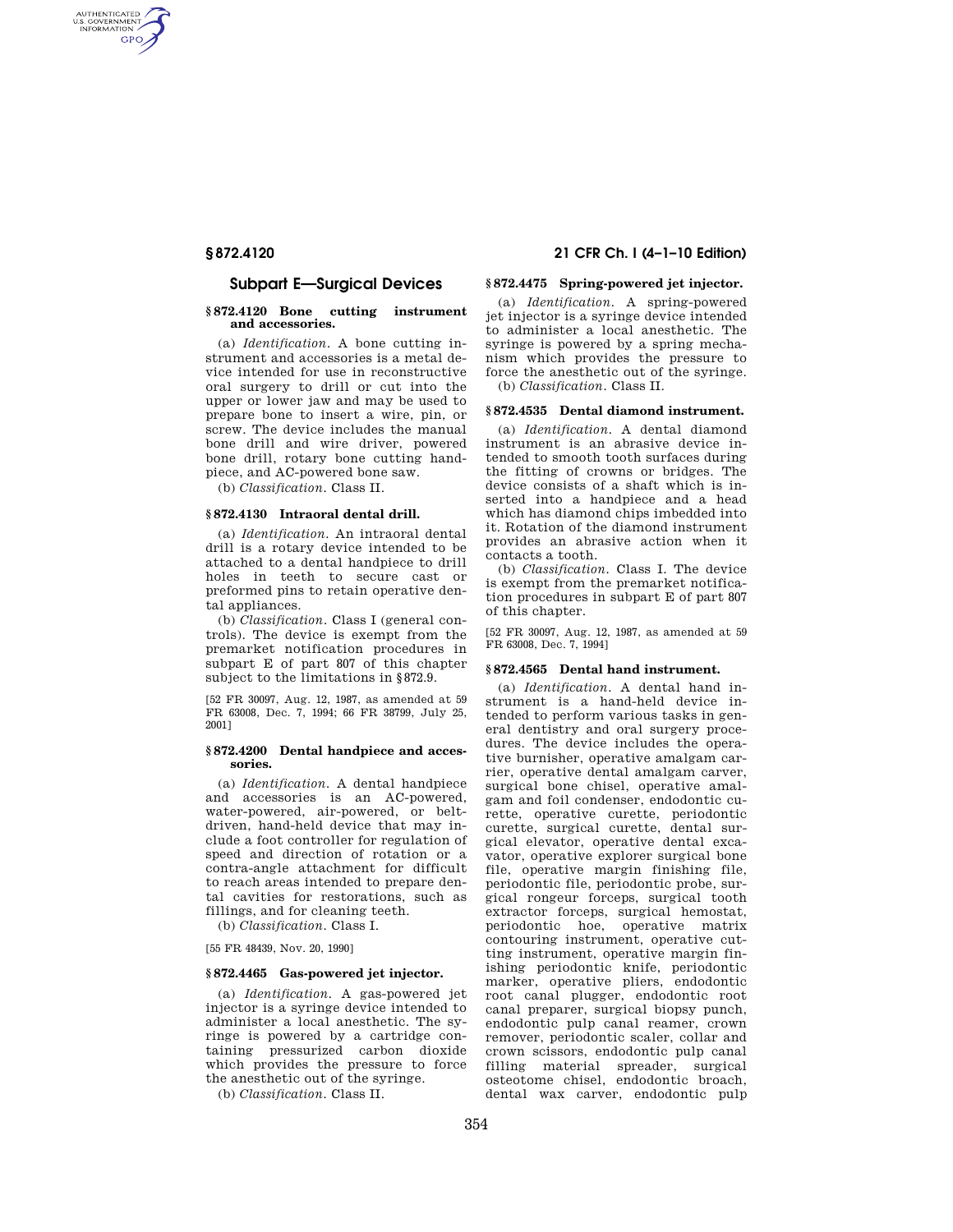AUTHENTICATED<br>U.S. GOVERNMENT<br>INFORMATION **GPO** 

# **Subpart E—Surgical Devices**

#### **§ 872.4120 Bone cutting instrument and accessories.**

(a) *Identification.* A bone cutting instrument and accessories is a metal device intended for use in reconstructive oral surgery to drill or cut into the upper or lower jaw and may be used to prepare bone to insert a wire, pin, or screw. The device includes the manual bone drill and wire driver, powered bone drill, rotary bone cutting handpiece, and AC-powered bone saw.

(b) *Classification.* Class II.

# **§ 872.4130 Intraoral dental drill.**

(a) *Identification.* An intraoral dental drill is a rotary device intended to be attached to a dental handpiece to drill holes in teeth to secure cast or preformed pins to retain operative dental appliances.

(b) *Classification.* Class I (general controls). The device is exempt from the premarket notification procedures in subpart E of part 807 of this chapter subject to the limitations in §872.9.

[52 FR 30097, Aug. 12, 1987, as amended at 59 FR 63008, Dec. 7, 1994; 66 FR 38799, July 25, 2001]

### **§ 872.4200 Dental handpiece and accessories.**

(a) *Identification.* A dental handpiece and accessories is an AC-powered, water-powered, air-powered, or beltdriven, hand-held device that may include a foot controller for regulation of speed and direction of rotation or a contra-angle attachment for difficult to reach areas intended to prepare dental cavities for restorations, such as fillings, and for cleaning teeth.

(b) *Classification.* Class I.

[55 FR 48439, Nov. 20, 1990]

# **§ 872.4465 Gas-powered jet injector.**

(a) *Identification.* A gas-powered jet injector is a syringe device intended to administer a local anesthetic. The syringe is powered by a cartridge containing pressurized carbon dioxide which provides the pressure to force the anesthetic out of the syringe.

(b) *Classification.* Class II.

# **§ 872.4475 Spring-powered jet injector.**

(a) *Identification.* A spring-powered jet injector is a syringe device intended to administer a local anesthetic. The syringe is powered by a spring mechanism which provides the pressure to force the anesthetic out of the syringe. (b) *Classification.* Class II.

# **§ 872.4535 Dental diamond instrument.**

(a) *Identification.* A dental diamond instrument is an abrasive device intended to smooth tooth surfaces during the fitting of crowns or bridges. The device consists of a shaft which is inserted into a handpiece and a head which has diamond chips imbedded into it. Rotation of the diamond instrument provides an abrasive action when it contacts a tooth.

(b) *Classification.* Class I. The device is exempt from the premarket notification procedures in subpart E of part 807 of this chapter.

[52 FR 30097, Aug. 12, 1987, as amended at 59 FR 63008, Dec. 7, 1994]

# **§ 872.4565 Dental hand instrument.**

(a) *Identification.* A dental hand instrument is a hand-held device intended to perform various tasks in general dentistry and oral surgery procedures. The device includes the operative burnisher, operative amalgam carrier, operative dental amalgam carver, surgical bone chisel, operative amalgam and foil condenser, endodontic curette, operative curette, periodontic curette, surgical curette, dental surgical elevator, operative dental excavator, operative explorer surgical bone file, operative margin finishing file, periodontic file, periodontic probe, surgical rongeur forceps, surgical tooth extractor forceps, surgical hemostat, periodontic hoe, operative matrix contouring instrument, operative cutting instrument, operative margin finishing periodontic knife, periodontic marker, operative pliers, endodontic root canal plugger, endodontic root canal preparer, surgical biopsy punch, endodontic pulp canal reamer, crown remover, periodontic scaler, collar and crown scissors, endodontic pulp canal filling material spreader, surgical osteotome chisel, endodontic broach, dental wax carver, endodontic pulp